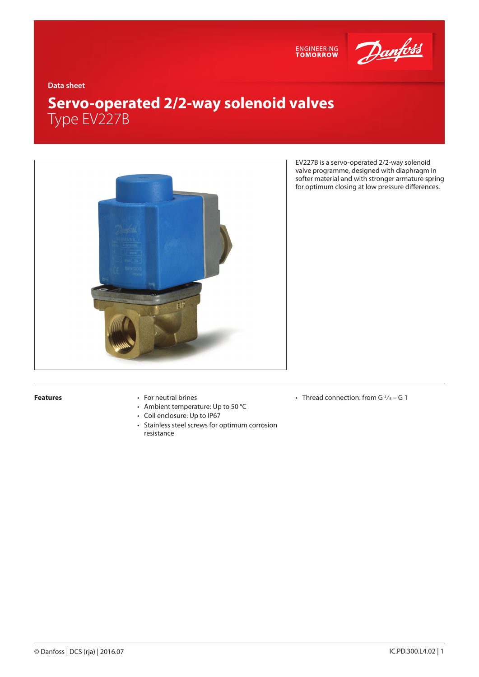

**Data sheet**

# **Servo-operated 2/2-way solenoid valves** Type EV227B



EV227B is a servo-operated 2/2-way solenoid valve programme, designed with diaphragm in softer material and with stronger armature spring for optimum closing at low pressure differences.

- **Features** For neutral brines
	- Ambient temperature: Up to 50 °C
	- Coil enclosure: Up to IP67
	- Stainless steel screws for optimum corrosion resistance
- Thread connection: from G $\frac{3}{8}$  G 1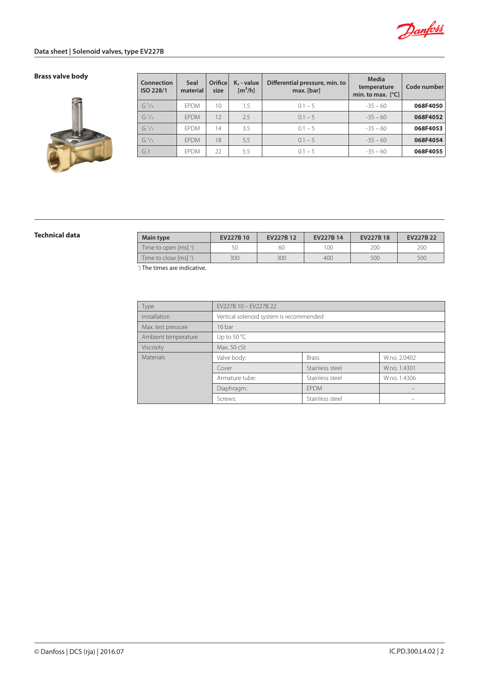

# **Data sheet | Solenoid valves, type EV227B**

# **Brass valve body**



| Connection<br>ISO 228/1 | <b>Seal</b><br>material | Orifice<br>size | $K_v$ - value<br>$\left[\frac{m^3}{h}\right]$ | Differential pressure, min. to<br>max. [bar] | <b>Media</b><br>temperature<br>min. to max. $[^{\circ}C]$ | Code number |
|-------------------------|-------------------------|-----------------|-----------------------------------------------|----------------------------------------------|-----------------------------------------------------------|-------------|
| $G^{3}/8$               | <b>FPDM</b>             | 10              | 1.5                                           | $0.1 - 5$                                    | $-35 - 60$                                                | 068F4050    |
| $G^{1/2}$               | <b>FPDM</b>             | 12              | 2.5                                           | $0.1 - 5$                                    | $-35 - 60$                                                | 068F4052    |
| $G^{1/2}$               | <b>FPDM</b>             | 14              | 3.5                                           | $0.1 - 5$                                    | $-35 - 60$                                                | 068F4053    |
| $G^3/4$                 | <b>FPDM</b>             | 18              | 5.5                                           | $0.1 - 5$                                    | $-35 - 60$                                                | 068F4054    |
| G <sub>1</sub>          | <b>FPDM</b>             | 22              | 5.5                                           | $0.1 - 5$                                    | $-35 - 60$                                                | 068F4055    |

| Technical data | Main type                                      | EV227B 10 | EV227B12 | EV227B 14 | <b>EV227B18</b> | EV227B 22 |
|----------------|------------------------------------------------|-----------|----------|-----------|-----------------|-----------|
|                | Time to open $\lceil ms \rceil$ <sup>1</sup> ) | 50        | 60       | 100       | 200             | 20C       |
|                | Time to close [ms] 1)                          | 300       | 300      | 400       | 500             | 500       |
|                | $\mathbf{v}$                                   |           |          |           |                 |           |

<sup>1</sup>) The times are indicative.

| Type                | EV227B 10 - EV227B 22                   |                 |              |  |  |  |
|---------------------|-----------------------------------------|-----------------|--------------|--|--|--|
| Installation        | Vertical solenoid system is recommended |                 |              |  |  |  |
| Max. test pressure  | 16 bar                                  |                 |              |  |  |  |
| Ambient temperature | Up to 50 $^{\circ}$ C                   |                 |              |  |  |  |
| Viscosity           | Max. 50 cSt                             |                 |              |  |  |  |
| Materials           | Valve body:                             | <b>Brass</b>    | W.no. 2.0402 |  |  |  |
|                     | Cover                                   | Stainless steel | W.no. 1.4301 |  |  |  |
|                     | Armature tube:                          | Stainless steel | W.no. 1.4306 |  |  |  |
|                     | Diaphragm:                              | <b>FPDM</b>     |              |  |  |  |
|                     | Screws:                                 | Stainless steel |              |  |  |  |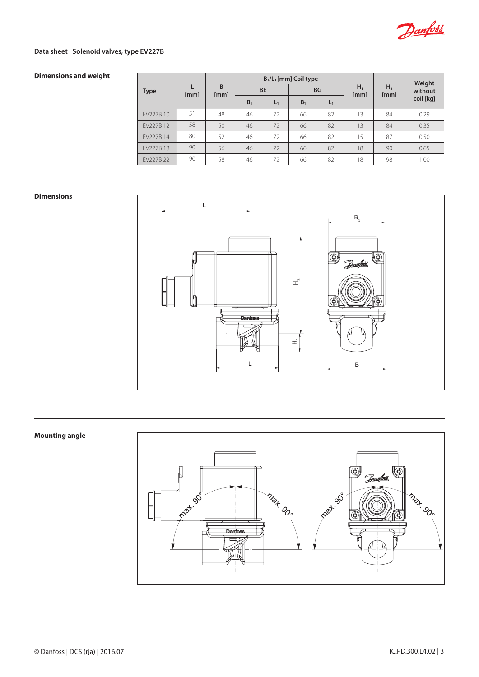

# **Data sheet | Solenoid valves, type EV227B**

# **Dimensions and weight**

|             |      |           | $B_1/L_1$ [mm] Coil type |       |                |       |               |                        | Weight    |
|-------------|------|-----------|--------------------------|-------|----------------|-------|---------------|------------------------|-----------|
| <b>Type</b> | [mm] | B<br>[mm] | <b>BE</b>                |       | <b>BG</b>      |       | $H_1$<br>[mm] | H <sub>2</sub><br>[mm] | without   |
|             |      |           | B <sub>1</sub>           | $L_1$ | B <sub>1</sub> | $L_1$ |               |                        | coil [kg] |
| EV227B 10   | 51   | 48        | 46                       | 72    | 66             | 82    | 13            | 84                     | 0.29      |
| EV227B 12   | 58   | 50        | 46                       | 72    | 66             | 82    | 13            | 84                     | 0.35      |
| EV227B 14   | 80   | 52        | 46                       | 72    | 66             | 82    | 15            | 87                     | 0.50      |
| EV227B 18   | 90   | 56        | 46                       | 72    | 66             | 82    | 18            | 90                     | 0.65      |
| EV227B 22   | 90   | 58        | 46                       | 72    | 66             | 82    | 18            | 98                     | 1.00      |

#### **Dimensions**



## **Mounting angle**

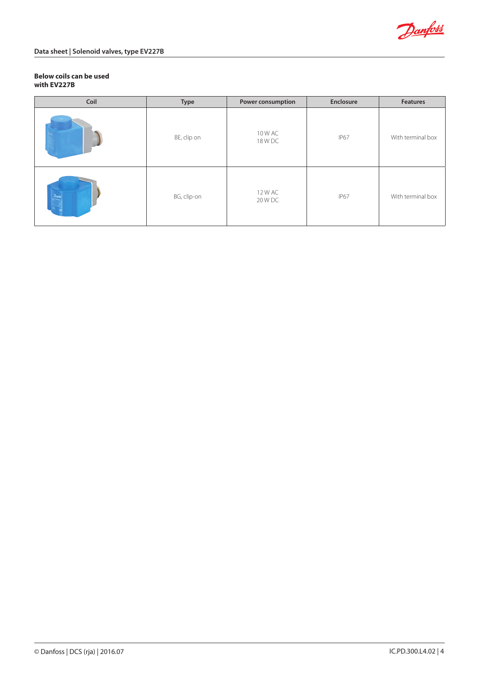

### **Below coils can be used with EV227B**

| Coil     | <b>Type</b> | Power consumption  | Enclosure   | <b>Features</b>   |
|----------|-------------|--------------------|-------------|-------------------|
|          | BE, clip on | 10 W AC<br>18 W DC | <b>IP67</b> | With terminal box |
| Download | BG, clip-on | 12 W AC<br>20 W DC | IP67        | With terminal box |